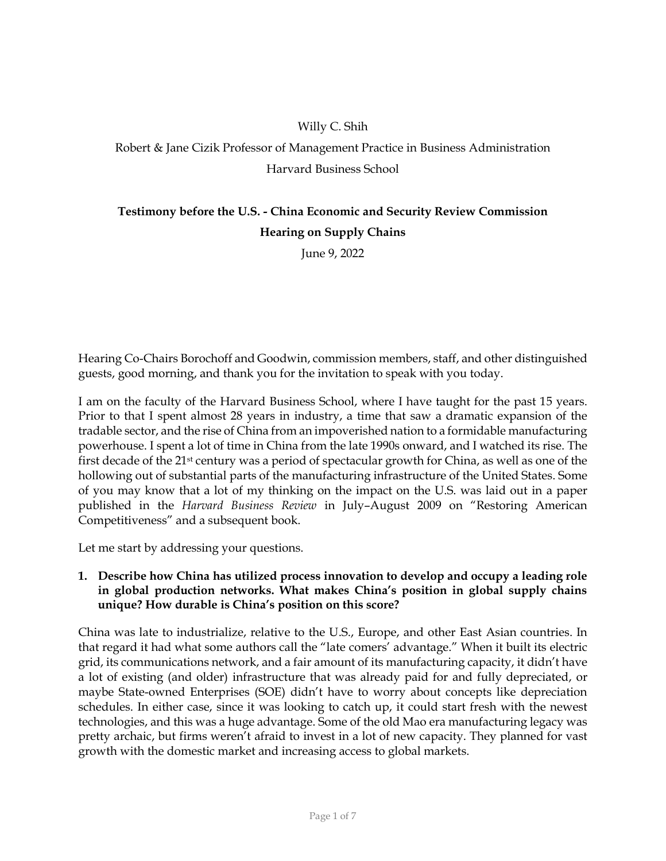# Willy C. Shih

# Robert & Jane Cizik Professor of Management Practice in Business Administration Harvard Business School

# **Testimony before the U.S. - China Economic and Security Review Commission Hearing on Supply Chains**

June 9, 2022

Hearing Co-Chairs Borochoff and Goodwin, commission members, staff, and other distinguished guests, good morning, and thank you for the invitation to speak with you today.

I am on the faculty of the Harvard Business School, where I have taught for the past 15 years. Prior to that I spent almost 28 years in industry, a time that saw a dramatic expansion of the tradable sector, and the rise of China from an impoverished nation to a formidable manufacturing powerhouse. I spent a lot of time in China from the late 1990s onward, and I watched its rise. The first decade of the 21st century was a period of spectacular growth for China, as well as one of the hollowing out of substantial parts of the manufacturing infrastructure of the United States. Some of you may know that a lot of my thinking on the impact on the U.S. was laid out in a paper published in the *Harvard Business Review* in July–August 2009 on "Restoring American Competitiveness" and a subsequent book.

Let me start by addressing your questions.

# **1. Describe how China has utilized process innovation to develop and occupy a leading role in global production networks. What makes China's position in global supply chains unique? How durable is China's position on this score?**

China was late to industrialize, relative to the U.S., Europe, and other East Asian countries. In that regard it had what some authors call the "late comers' advantage." When it built its electric grid, its communications network, and a fair amount of its manufacturing capacity, it didn't have a lot of existing (and older) infrastructure that was already paid for and fully depreciated, or maybe State-owned Enterprises (SOE) didn't have to worry about concepts like depreciation schedules. In either case, since it was looking to catch up, it could start fresh with the newest technologies, and this was a huge advantage. Some of the old Mao era manufacturing legacy was pretty archaic, but firms weren't afraid to invest in a lot of new capacity. They planned for vast growth with the domestic market and increasing access to global markets.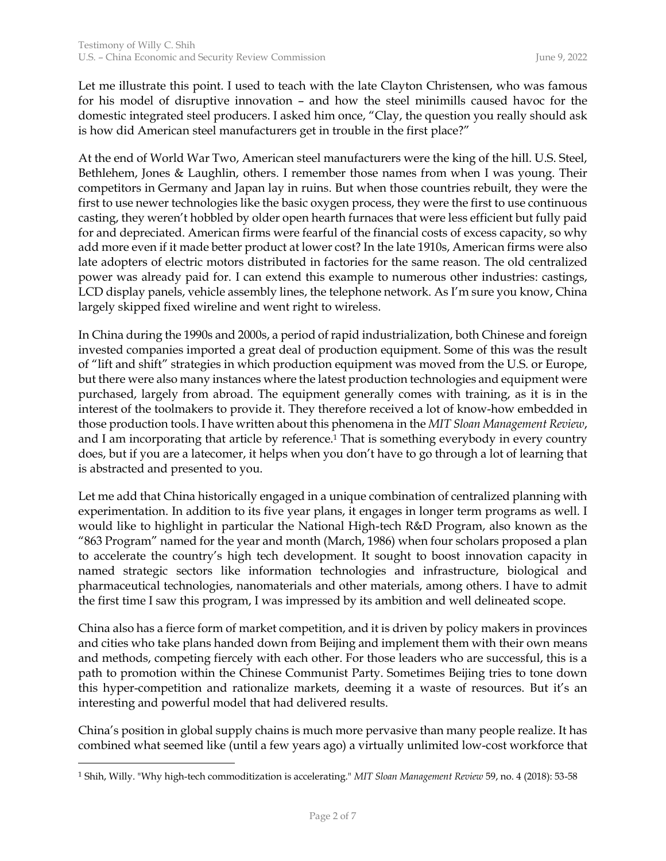Let me illustrate this point. I used to teach with the late Clayton Christensen, who was famous for his model of disruptive innovation – and how the steel minimills caused havoc for the domestic integrated steel producers. I asked him once, "Clay, the question you really should ask is how did American steel manufacturers get in trouble in the first place?"

At the end of World War Two, American steel manufacturers were the king of the hill. U.S. Steel, Bethlehem, Jones & Laughlin, others. I remember those names from when I was young. Their competitors in Germany and Japan lay in ruins. But when those countries rebuilt, they were the first to use newer technologies like the basic oxygen process, they were the first to use continuous casting, they weren't hobbled by older open hearth furnaces that were less efficient but fully paid for and depreciated. American firms were fearful of the financial costs of excess capacity, so why add more even if it made better product at lower cost? In the late 1910s, American firms were also late adopters of electric motors distributed in factories for the same reason. The old centralized power was already paid for. I can extend this example to numerous other industries: castings, LCD display panels, vehicle assembly lines, the telephone network. As I'm sure you know, China largely skipped fixed wireline and went right to wireless.

In China during the 1990s and 2000s, a period of rapid industrialization, both Chinese and foreign invested companies imported a great deal of production equipment. Some of this was the result of "lift and shift" strategies in which production equipment was moved from the U.S. or Europe, but there were also many instances where the latest production technologies and equipment were purchased, largely from abroad. The equipment generally comes with training, as it is in the interest of the toolmakers to provide it. They therefore received a lot of know-how embedded in those production tools. I have written about this phenomena in the *MIT Sloan Management Review*, and I am incorporating that article by reference.<sup>1</sup> That is something everybody in every country does, but if you are a latecomer, it helps when you don't have to go through a lot of learning that is abstracted and presented to you.

Let me add that China historically engaged in a unique combination of centralized planning with experimentation. In addition to its five year plans, it engages in longer term programs as well. I would like to highlight in particular the National High-tech R&D Program, also known as the "863 Program" named for the year and month (March, 1986) when four scholars proposed a plan to accelerate the country's high tech development. It sought to boost innovation capacity in named strategic sectors like information technologies and infrastructure, biological and pharmaceutical technologies, nanomaterials and other materials, among others. I have to admit the first time I saw this program, I was impressed by its ambition and well delineated scope.

China also has a fierce form of market competition, and it is driven by policy makers in provinces and cities who take plans handed down from Beijing and implement them with their own means and methods, competing fiercely with each other. For those leaders who are successful, this is a path to promotion within the Chinese Communist Party. Sometimes Beijing tries to tone down this hyper-competition and rationalize markets, deeming it a waste of resources. But it's an interesting and powerful model that had delivered results.

China's position in global supply chains is much more pervasive than many people realize. It has combined what seemed like (until a few years ago) a virtually unlimited low-cost workforce that

 $\overline{a}$ 

<sup>1</sup> Shih, Willy. "Why high-tech commoditization is accelerating." *MIT Sloan Management Review* 59, no. 4 (2018): 53-58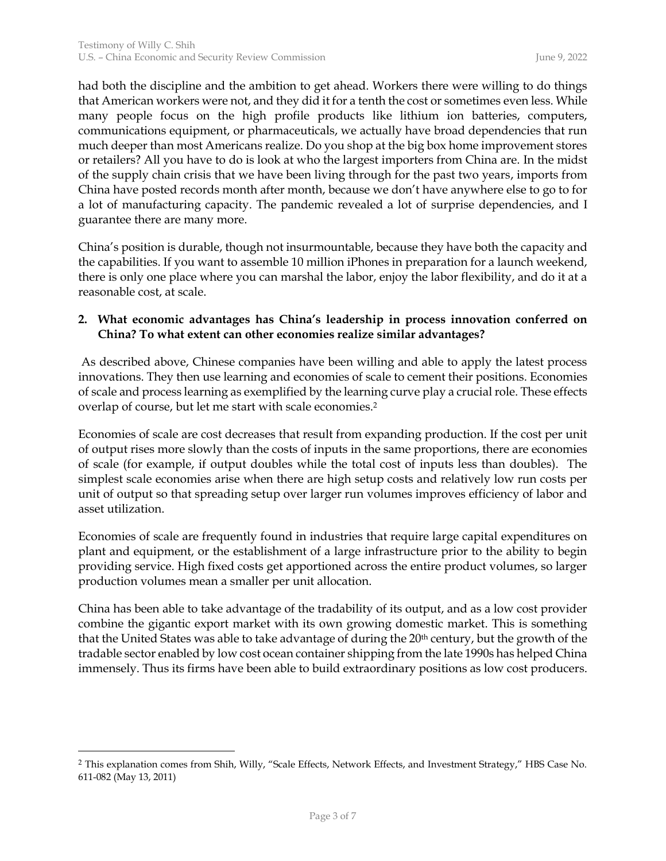had both the discipline and the ambition to get ahead. Workers there were willing to do things that American workers were not, and they did it for a tenth the cost or sometimes even less. While many people focus on the high profile products like lithium ion batteries, computers, communications equipment, or pharmaceuticals, we actually have broad dependencies that run much deeper than most Americans realize. Do you shop at the big box home improvement stores or retailers? All you have to do is look at who the largest importers from China are. In the midst of the supply chain crisis that we have been living through for the past two years, imports from China have posted records month after month, because we don't have anywhere else to go to for a lot of manufacturing capacity. The pandemic revealed a lot of surprise dependencies, and I guarantee there are many more.

China's position is durable, though not insurmountable, because they have both the capacity and the capabilities. If you want to assemble 10 million iPhones in preparation for a launch weekend, there is only one place where you can marshal the labor, enjoy the labor flexibility, and do it at a reasonable cost, at scale.

# **2. What economic advantages has China's leadership in process innovation conferred on China? To what extent can other economies realize similar advantages?**

As described above, Chinese companies have been willing and able to apply the latest process innovations. They then use learning and economies of scale to cement their positions. Economies of scale and process learning as exemplified by the learning curve play a crucial role. These effects overlap of course, but let me start with scale economies.<sup>2</sup>

Economies of scale are cost decreases that result from expanding production. If the cost per unit of output rises more slowly than the costs of inputs in the same proportions, there are economies of scale (for example, if output doubles while the total cost of inputs less than doubles). The simplest scale economies arise when there are high setup costs and relatively low run costs per unit of output so that spreading setup over larger run volumes improves efficiency of labor and asset utilization.

Economies of scale are frequently found in industries that require large capital expenditures on plant and equipment, or the establishment of a large infrastructure prior to the ability to begin providing service. High fixed costs get apportioned across the entire product volumes, so larger production volumes mean a smaller per unit allocation.

China has been able to take advantage of the tradability of its output, and as a low cost provider combine the gigantic export market with its own growing domestic market. This is something that the United States was able to take advantage of during the 20<sup>th</sup> century, but the growth of the tradable sector enabled by low cost ocean container shipping from the late 1990s has helped China immensely. Thus its firms have been able to build extraordinary positions as low cost producers.

 $\overline{a}$ 

<sup>2</sup> This explanation comes from Shih, Willy, "Scale Effects, Network Effects, and Investment Strategy," HBS Case No. 611-082 (May 13, 2011)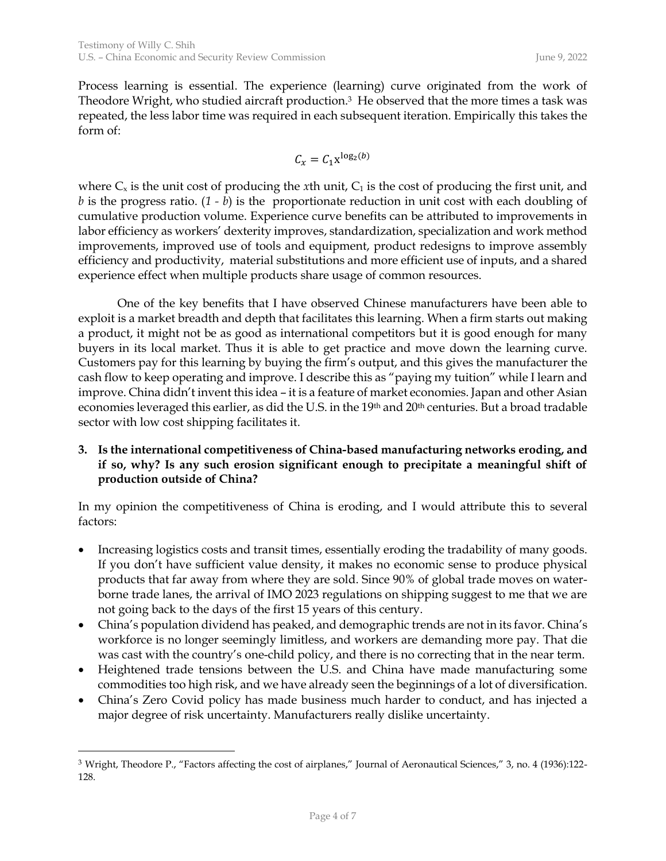Process learning is essential. The experience (learning) curve originated from the work of Theodore Wright, who studied aircraft production.<sup>3</sup> He observed that the more times a task was repeated, the less labor time was required in each subsequent iteration. Empirically this takes the form of:

$$
C_x = C_1 x^{\log_2(b)}
$$

where  $C_x$  is the unit cost of producing the *x*th unit,  $C_1$  is the cost of producing the first unit, and *b* is the progress ratio. (*1 - b*) is the proportionate reduction in unit cost with each doubling of cumulative production volume. Experience curve benefits can be attributed to improvements in labor efficiency as workers' dexterity improves, standardization, specialization and work method improvements, improved use of tools and equipment, product redesigns to improve assembly efficiency and productivity, material substitutions and more efficient use of inputs, and a shared experience effect when multiple products share usage of common resources.

One of the key benefits that I have observed Chinese manufacturers have been able to exploit is a market breadth and depth that facilitates this learning. When a firm starts out making a product, it might not be as good as international competitors but it is good enough for many buyers in its local market. Thus it is able to get practice and move down the learning curve. Customers pay for this learning by buying the firm's output, and this gives the manufacturer the cash flow to keep operating and improve. I describe this as "paying my tuition" while I learn and improve. China didn't invent this idea – it is a feature of market economies. Japan and other Asian economies leveraged this earlier, as did the U.S. in the 19th and 20th centuries. But a broad tradable sector with low cost shipping facilitates it.

### **3. Is the international competitiveness of China-based manufacturing networks eroding, and if so, why? Is any such erosion significant enough to precipitate a meaningful shift of production outside of China?**

In my opinion the competitiveness of China is eroding, and I would attribute this to several factors:

- Increasing logistics costs and transit times, essentially eroding the tradability of many goods. If you don't have sufficient value density, it makes no economic sense to produce physical products that far away from where they are sold. Since 90% of global trade moves on waterborne trade lanes, the arrival of IMO 2023 regulations on shipping suggest to me that we are not going back to the days of the first 15 years of this century.
- China's population dividend has peaked, and demographic trends are not in its favor. China's workforce is no longer seemingly limitless, and workers are demanding more pay. That die was cast with the country's one-child policy, and there is no correcting that in the near term.
- Heightened trade tensions between the U.S. and China have made manufacturing some commodities too high risk, and we have already seen the beginnings of a lot of diversification.
- China's Zero Covid policy has made business much harder to conduct, and has injected a major degree of risk uncertainty. Manufacturers really dislike uncertainty.

 $\overline{a}$ 

<sup>3</sup> Wright, Theodore P., "Factors affecting the cost of airplanes," Journal of Aeronautical Sciences," 3, no. 4 (1936):122- 128.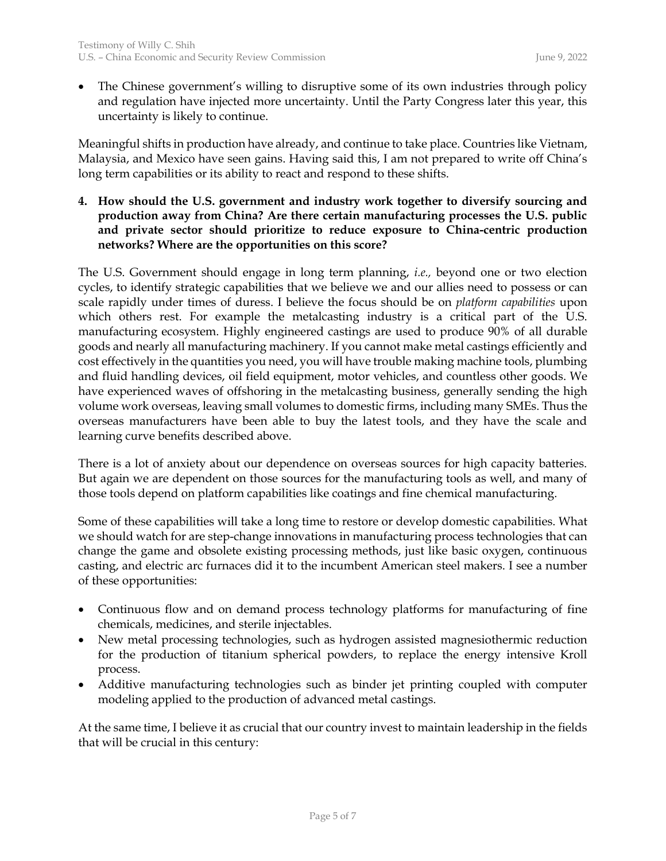• The Chinese government's willing to disruptive some of its own industries through policy and regulation have injected more uncertainty. Until the Party Congress later this year, this uncertainty is likely to continue.

Meaningful shifts in production have already, and continue to take place. Countries like Vietnam, Malaysia, and Mexico have seen gains. Having said this, I am not prepared to write off China's long term capabilities or its ability to react and respond to these shifts.

**4. How should the U.S. government and industry work together to diversify sourcing and production away from China? Are there certain manufacturing processes the U.S. public and private sector should prioritize to reduce exposure to China-centric production networks? Where are the opportunities on this score?**

The U.S. Government should engage in long term planning, *i.e.,* beyond one or two election cycles, to identify strategic capabilities that we believe we and our allies need to possess or can scale rapidly under times of duress. I believe the focus should be on *platform capabilities* upon which others rest. For example the metalcasting industry is a critical part of the U.S. manufacturing ecosystem. Highly engineered castings are used to produce 90% of all durable goods and nearly all manufacturing machinery. If you cannot make metal castings efficiently and cost effectively in the quantities you need, you will have trouble making machine tools, plumbing and fluid handling devices, oil field equipment, motor vehicles, and countless other goods. We have experienced waves of offshoring in the metalcasting business, generally sending the high volume work overseas, leaving small volumes to domestic firms, including many SMEs. Thus the overseas manufacturers have been able to buy the latest tools, and they have the scale and learning curve benefits described above.

There is a lot of anxiety about our dependence on overseas sources for high capacity batteries. But again we are dependent on those sources for the manufacturing tools as well, and many of those tools depend on platform capabilities like coatings and fine chemical manufacturing.

Some of these capabilities will take a long time to restore or develop domestic capabilities. What we should watch for are step-change innovations in manufacturing process technologies that can change the game and obsolete existing processing methods, just like basic oxygen, continuous casting, and electric arc furnaces did it to the incumbent American steel makers. I see a number of these opportunities:

- Continuous flow and on demand process technology platforms for manufacturing of fine chemicals, medicines, and sterile injectables.
- New metal processing technologies, such as hydrogen assisted magnesiothermic reduction for the production of titanium spherical powders, to replace the energy intensive Kroll process.
- Additive manufacturing technologies such as binder jet printing coupled with computer modeling applied to the production of advanced metal castings.

At the same time, I believe it as crucial that our country invest to maintain leadership in the fields that will be crucial in this century: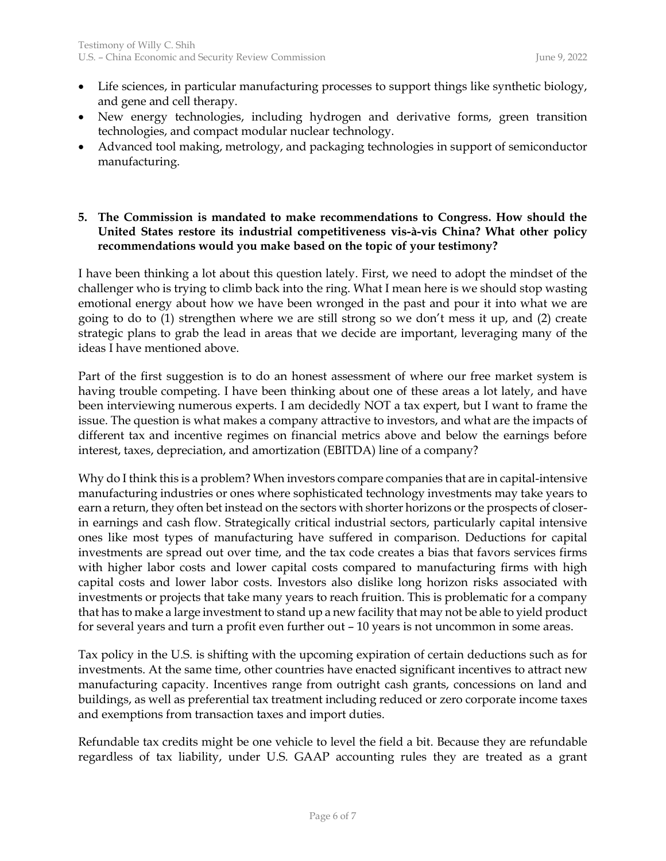- Life sciences, in particular manufacturing processes to support things like synthetic biology, and gene and cell therapy.
- New energy technologies, including hydrogen and derivative forms, green transition technologies, and compact modular nuclear technology.
- Advanced tool making, metrology, and packaging technologies in support of semiconductor manufacturing.

# **5. The Commission is mandated to make recommendations to Congress. How should the United States restore its industrial competitiveness vis-à-vis China? What other policy recommendations would you make based on the topic of your testimony?**

I have been thinking a lot about this question lately. First, we need to adopt the mindset of the challenger who is trying to climb back into the ring. What I mean here is we should stop wasting emotional energy about how we have been wronged in the past and pour it into what we are going to do to (1) strengthen where we are still strong so we don't mess it up, and (2) create strategic plans to grab the lead in areas that we decide are important, leveraging many of the ideas I have mentioned above.

Part of the first suggestion is to do an honest assessment of where our free market system is having trouble competing. I have been thinking about one of these areas a lot lately, and have been interviewing numerous experts. I am decidedly NOT a tax expert, but I want to frame the issue. The question is what makes a company attractive to investors, and what are the impacts of different tax and incentive regimes on financial metrics above and below the earnings before interest, taxes, depreciation, and amortization (EBITDA) line of a company?

Why do I think this is a problem? When investors compare companies that are in capital-intensive manufacturing industries or ones where sophisticated technology investments may take years to earn a return, they often bet instead on the sectors with shorter horizons or the prospects of closerin earnings and cash flow. Strategically critical industrial sectors, particularly capital intensive ones like most types of manufacturing have suffered in comparison. Deductions for capital investments are spread out over time, and the tax code creates a bias that favors services firms with higher labor costs and lower capital costs compared to manufacturing firms with high capital costs and lower labor costs. Investors also dislike long horizon risks associated with investments or projects that take many years to reach fruition. This is problematic for a company that has to make a large investment to stand up a new facility that may not be able to yield product for several years and turn a profit even further out – 10 years is not uncommon in some areas.

Tax policy in the U.S. is shifting with the upcoming expiration of certain deductions such as for investments. At the same time, other countries have enacted significant incentives to attract new manufacturing capacity. Incentives range from outright cash grants, concessions on land and buildings, as well as preferential tax treatment including reduced or zero corporate income taxes and exemptions from transaction taxes and import duties.

Refundable tax credits might be one vehicle to level the field a bit. Because they are refundable regardless of tax liability, under U.S. GAAP accounting rules they are treated as a grant